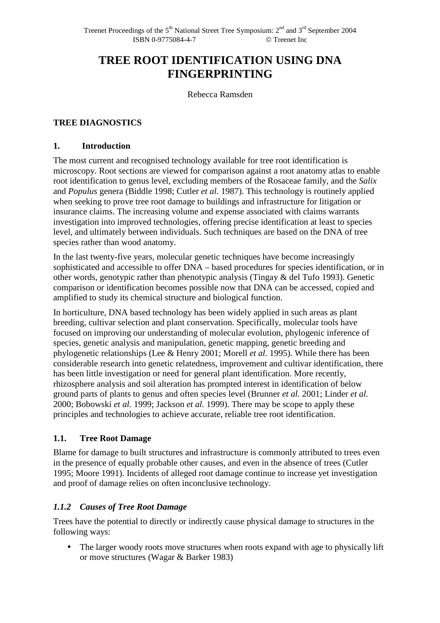# **TREE ROOT IDENTIFICATION USING DNA FINGERPRINTING**

Rebecca Ramsden

### **TREE DIAGNOSTICS**

#### **1. Introduction**

The most current and recognised technology available for tree root identification is microscopy. Root sections are viewed for comparison against a root anatomy atlas to enable root identification to genus level, excluding members of the Rosaceae family, and the *Salix* and *Populus* genera (Biddle 1998; Cutler *et al.* 1987). This technology is routinely applied when seeking to prove tree root damage to buildings and infrastructure for litigation or insurance claims. The increasing volume and expense associated with claims warrants investigation into improved technologies, offering precise identification at least to species level, and ultimately between individuals. Such techniques are based on the DNA of tree species rather than wood anatomy.

In the last twenty-five years, molecular genetic techniques have become increasingly sophisticated and accessible to offer DNA – based procedures for species identification, or in other words, genotypic rather than phenotypic analysis (Tingay & del Tufo 1993). Genetic comparison or identification becomes possible now that DNA can be accessed, copied and amplified to study its chemical structure and biological function.

In horticulture, DNA based technology has been widely applied in such areas as plant breeding, cultivar selection and plant conservation. Specifically, molecular tools have focused on improving our understanding of molecular evolution, phylogenic inference of species, genetic analysis and manipulation, genetic mapping, genetic breeding and phylogenetic relationships (Lee & Henry 2001; Morell *et al.* 1995). While there has been considerable research into genetic relatedness, improvement and cultivar identification, there has been little investigation or need for general plant identification. More recently, rhizosphere analysis and soil alteration has prompted interest in identification of below ground parts of plants to genus and often species level (Brunner *et al.* 2001; Linder *et al.* 2000; Bobowski *et al.* 1999; Jackson *et al.* 1999). There may be scope to apply these principles and technologies to achieve accurate, reliable tree root identification.

### **1.1. Tree Root Damage**

Blame for damage to built structures and infrastructure is commonly attributed to trees even in the presence of equally probable other causes, and even in the absence of trees (Cutler 1995; Moore 1991). Incidents of alleged root damage continue to increase yet investigation and proof of damage relies on often inconclusive technology.

### *1.1.2 Causes of Tree Root Damage*

Trees have the potential to directly or indirectly cause physical damage to structures in the following ways:

• The larger woody roots move structures when roots expand with age to physically lift or move structures (Wagar & Barker 1983)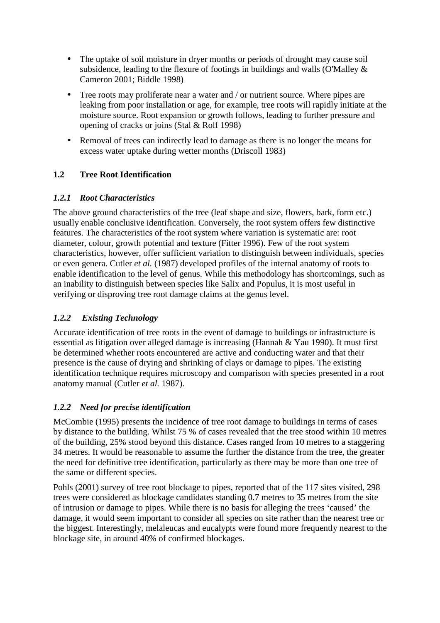- The uptake of soil moisture in dryer months or periods of drought may cause soil subsidence, leading to the flexure of footings in buildings and walls (O'Malley & Cameron 2001; Biddle 1998)
- Tree roots may proliferate near a water and / or nutrient source. Where pipes are leaking from poor installation or age, for example, tree roots will rapidly initiate at the moisture source. Root expansion or growth follows, leading to further pressure and opening of cracks or joins (Stal & Rolf 1998)
- Removal of trees can indirectly lead to damage as there is no longer the means for excess water uptake during wetter months (Driscoll 1983)

# **1.2 Tree Root Identification**

### *1.2.1 Root Characteristics*

The above ground characteristics of the tree (leaf shape and size, flowers, bark, form etc.) usually enable conclusive identification. Conversely, the root system offers few distinctive features. The characteristics of the root system where variation is systematic are: root diameter, colour, growth potential and texture (Fitter 1996). Few of the root system characteristics, however, offer sufficient variation to distinguish between individuals, species or even genera. Cutler *et al.* (1987) developed profiles of the internal anatomy of roots to enable identification to the level of genus. While this methodology has shortcomings, such as an inability to distinguish between species like Salix and Populus, it is most useful in verifying or disproving tree root damage claims at the genus level.

# *1.2.2 Existing Technology*

Accurate identification of tree roots in the event of damage to buildings or infrastructure is essential as litigation over alleged damage is increasing (Hannah & Yau 1990). It must first be determined whether roots encountered are active and conducting water and that their presence is the cause of drying and shrinking of clays or damage to pipes. The existing identification technique requires microscopy and comparison with species presented in a root anatomy manual (Cutler *et al.* 1987).

# *1.2.2 Need for precise identification*

McCombie (1995) presents the incidence of tree root damage to buildings in terms of cases by distance to the building. Whilst 75 % of cases revealed that the tree stood within 10 metres of the building, 25% stood beyond this distance. Cases ranged from 10 metres to a staggering 34 metres. It would be reasonable to assume the further the distance from the tree, the greater the need for definitive tree identification, particularly as there may be more than one tree of the same or different species.

Pohls (2001) survey of tree root blockage to pipes, reported that of the 117 sites visited, 298 trees were considered as blockage candidates standing 0.7 metres to 35 metres from the site of intrusion or damage to pipes. While there is no basis for alleging the trees 'caused' the damage, it would seem important to consider all species on site rather than the nearest tree or the biggest. Interestingly, melaleucas and eucalypts were found more frequently nearest to the blockage site, in around 40% of confirmed blockages.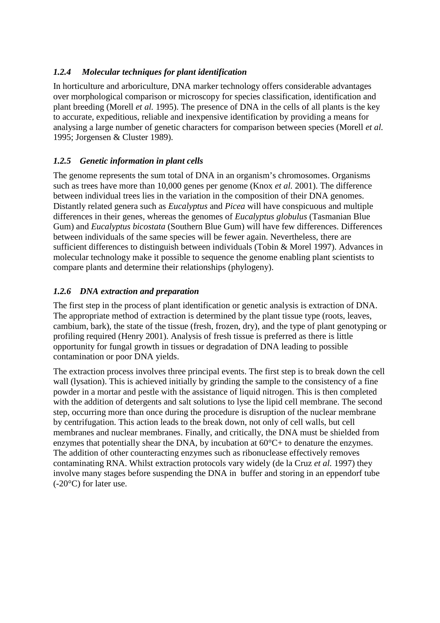## *1.2.4 Molecular techniques for plant identification*

In horticulture and arboriculture, DNA marker technology offers considerable advantages over morphological comparison or microscopy for species classification, identification and plant breeding (Morell *et al.* 1995). The presence of DNA in the cells of all plants is the key to accurate, expeditious, reliable and inexpensive identification by providing a means for analysing a large number of genetic characters for comparison between species (Morell *et al.* 1995; Jorgensen & Cluster 1989).

# *1.2.5 Genetic information in plant cells*

The genome represents the sum total of DNA in an organism's chromosomes. Organisms such as trees have more than 10,000 genes per genome (Knox *et al.* 2001). The difference between individual trees lies in the variation in the composition of their DNA genomes. Distantly related genera such as *Eucalyptus* and *Picea* will have conspicuous and multiple differences in their genes, whereas the genomes of *Eucalyptus globulus* (Tasmanian Blue Gum) and *Eucalyptus bicostata* (Southern Blue Gum) will have few differences. Differences between individuals of the same species will be fewer again. Nevertheless, there are sufficient differences to distinguish between individuals (Tobin & Morel 1997). Advances in molecular technology make it possible to sequence the genome enabling plant scientists to compare plants and determine their relationships (phylogeny).

# *1.2.6 DNA extraction and preparation*

The first step in the process of plant identification or genetic analysis is extraction of DNA. The appropriate method of extraction is determined by the plant tissue type (roots, leaves, cambium, bark), the state of the tissue (fresh, frozen, dry), and the type of plant genotyping or profiling required (Henry 2001). Analysis of fresh tissue is preferred as there is little opportunity for fungal growth in tissues or degradation of DNA leading to possible contamination or poor DNA yields.

The extraction process involves three principal events. The first step is to break down the cell wall (lysation). This is achieved initially by grinding the sample to the consistency of a fine powder in a mortar and pestle with the assistance of liquid nitrogen. This is then completed with the addition of detergents and salt solutions to lyse the lipid cell membrane. The second step, occurring more than once during the procedure is disruption of the nuclear membrane by centrifugation. This action leads to the break down, not only of cell walls, but cell membranes and nuclear membranes. Finally, and critically, the DNA must be shielded from enzymes that potentially shear the DNA, by incubation at 60°C+ to denature the enzymes. The addition of other counteracting enzymes such as ribonuclease effectively removes contaminating RNA. Whilst extraction protocols vary widely (de la Cruz *et al.* 1997) they involve many stages before suspending the DNA in buffer and storing in an eppendorf tube (-20°C) for later use.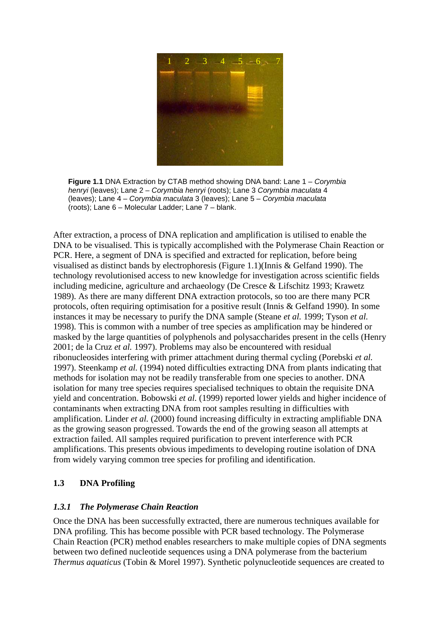

**Figure 1.1** DNA Extraction by CTAB method showing DNA band: Lane 1 – Corymbia henryi (leaves); Lane 2 – Corymbia henryi (roots); Lane 3 Corymbia maculata 4 (leaves); Lane 4 – Corymbia maculata 3 (leaves); Lane 5 – Corymbia maculata (roots); Lane 6 – Molecular Ladder; Lane 7 – blank.

After extraction, a process of DNA replication and amplification is utilised to enable the DNA to be visualised. This is typically accomplished with the Polymerase Chain Reaction or PCR. Here, a segment of DNA is specified and extracted for replication, before being visualised as distinct bands by electrophoresis (Figure 1.1)(Innis & Gelfand 1990). The technology revolutionised access to new knowledge for investigation across scientific fields including medicine, agriculture and archaeology (De Cresce & Lifschitz 1993; Krawetz 1989). As there are many different DNA extraction protocols, so too are there many PCR protocols, often requiring optimisation for a positive result (Innis & Gelfand 1990). In some instances it may be necessary to purify the DNA sample (Steane *et al.* 1999; Tyson *et al.* 1998). This is common with a number of tree species as amplification may be hindered or masked by the large quantities of polyphenols and polysaccharides present in the cells (Henry 2001; de la Cruz *et al.* 1997). Problems may also be encountered with residual ribonucleosides interfering with primer attachment during thermal cycling (Porebski *et al.* 1997). Steenkamp *et al.* (1994) noted difficulties extracting DNA from plants indicating that methods for isolation may not be readily transferable from one species to another. DNA isolation for many tree species requires specialised techniques to obtain the requisite DNA yield and concentration. Bobowski *et al.* (1999) reported lower yields and higher incidence of contaminants when extracting DNA from root samples resulting in difficulties with amplification. Linder *et al.* (2000) found increasing difficulty in extracting amplifiable DNA as the growing season progressed. Towards the end of the growing season all attempts at extraction failed. All samples required purification to prevent interference with PCR amplifications. This presents obvious impediments to developing routine isolation of DNA from widely varying common tree species for profiling and identification.

# **1.3 DNA Profiling**

### *1.3.1 The Polymerase Chain Reaction*

Once the DNA has been successfully extracted, there are numerous techniques available for DNA profiling. This has become possible with PCR based technology. The Polymerase Chain Reaction (PCR) method enables researchers to make multiple copies of DNA segments between two defined nucleotide sequences using a DNA polymerase from the bacterium *Thermus aquaticus* (Tobin & Morel 1997). Synthetic polynucleotide sequences are created to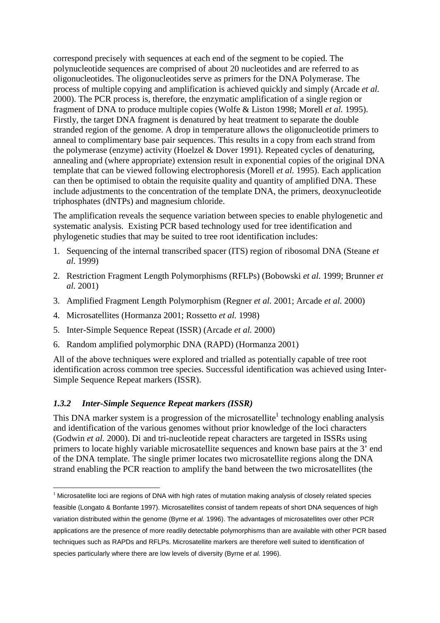correspond precisely with sequences at each end of the segment to be copied. The polynucleotide sequences are comprised of about 20 nucleotides and are referred to as oligonucleotides. The oligonucleotides serve as primers for the DNA Polymerase. The process of multiple copying and amplification is achieved quickly and simply (Arcade *et al.* 2000). The PCR process is, therefore, the enzymatic amplification of a single region or fragment of DNA to produce multiple copies (Wolfe & Liston 1998; Morell *et al.* 1995). Firstly, the target DNA fragment is denatured by heat treatment to separate the double stranded region of the genome. A drop in temperature allows the oligonucleotide primers to anneal to complimentary base pair sequences. This results in a copy from each strand from the polymerase (enzyme) activity (Hoelzel & Dover 1991). Repeated cycles of denaturing, annealing and (where appropriate) extension result in exponential copies of the original DNA template that can be viewed following electrophoresis (Morell *et al.* 1995). Each application can then be optimised to obtain the requisite quality and quantity of amplified DNA. These include adjustments to the concentration of the template DNA, the primers, deoxynucleotide triphosphates (dNTPs) and magnesium chloride.

The amplification reveals the sequence variation between species to enable phylogenetic and systematic analysis. Existing PCR based technology used for tree identification and phylogenetic studies that may be suited to tree root identification includes:

- 1. Sequencing of the internal transcribed spacer (ITS) region of ribosomal DNA (Steane *et al.* 1999)
- 2. Restriction Fragment Length Polymorphisms (RFLPs) (Bobowski *et al.* 1999; Brunner *et al.* 2001)
- 3. Amplified Fragment Length Polymorphism (Regner *et al.* 2001; Arcade *et al.* 2000)
- 4. Microsatellites (Hormanza 2001; Rossetto *et al.* 1998)
- 5. Inter-Simple Sequence Repeat (ISSR) (Arcade *et al.* 2000)
- 6. Random amplified polymorphic DNA (RAPD) (Hormanza 2001)

All of the above techniques were explored and trialled as potentially capable of tree root identification across common tree species. Successful identification was achieved using Inter-Simple Sequence Repeat markers (ISSR).

### *1.3.2 Inter-Simple Sequence Repeat markers (ISSR)*

 $\overline{a}$ 

This DNA marker system is a progression of the microsatellite<sup>1</sup> technology enabling analysis and identification of the various genomes without prior knowledge of the loci characters (Godwin *et al.* 2000). Di and tri-nucleotide repeat characters are targeted in ISSRs using primers to locate highly variable microsatellite sequences and known base pairs at the 3' end of the DNA template. The single primer locates two microsatellite regions along the DNA strand enabling the PCR reaction to amplify the band between the two microsatellites (the

 $1$  Microsatellite loci are regions of DNA with high rates of mutation making analysis of closely related species feasible (Longato & Bonfante 1997). Microsatellites consist of tandem repeats of short DNA sequences of high variation distributed within the genome (Byrne et al. 1996). The advantages of microsatellites over other PCR applications are the presence of more readily detectable polymorphisms than are available with other PCR based techniques such as RAPDs and RFLPs. Microsatellite markers are therefore well suited to identification of species particularly where there are low levels of diversity (Byrne et al. 1996).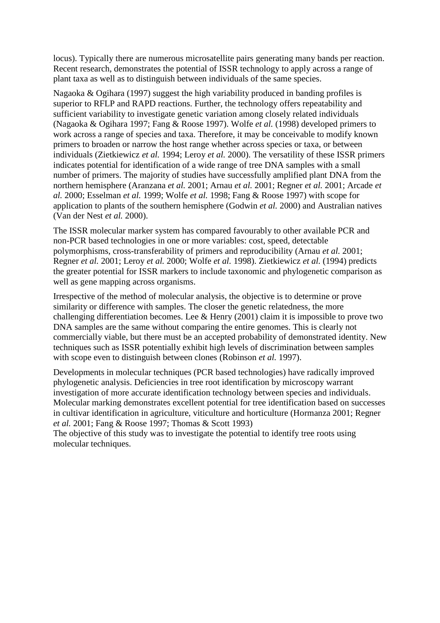locus). Typically there are numerous microsatellite pairs generating many bands per reaction. Recent research, demonstrates the potential of ISSR technology to apply across a range of plant taxa as well as to distinguish between individuals of the same species.

Nagaoka & Ogihara (1997) suggest the high variability produced in banding profiles is superior to RFLP and RAPD reactions. Further, the technology offers repeatability and sufficient variability to investigate genetic variation among closely related individuals (Nagaoka & Ogihara 1997; Fang & Roose 1997). Wolfe *et al.* (1998) developed primers to work across a range of species and taxa. Therefore, it may be conceivable to modify known primers to broaden or narrow the host range whether across species or taxa, or between individuals (Zietkiewicz *et al.* 1994; Leroy *et al.* 2000). The versatility of these ISSR primers indicates potential for identification of a wide range of tree DNA samples with a small number of primers. The majority of studies have successfully amplified plant DNA from the northern hemisphere (Aranzana *et al.* 2001; Arnau *et al.* 2001; Regner *et al.* 2001; Arcade *et al.* 2000; Esselman *et al.* 1999; Wolfe *et al.* 1998; Fang & Roose 1997) with scope for application to plants of the southern hemisphere (Godwin *et al.* 2000) and Australian natives (Van der Nest *et al.* 2000).

The ISSR molecular marker system has compared favourably to other available PCR and non-PCR based technologies in one or more variables: cost, speed, detectable polymorphisms, cross-transferability of primers and reproducibility (Arnau *et al.* 2001; Regner *et al.* 2001; Leroy *et al.* 2000; Wolfe *et al.* 1998). Zietkiewicz *et al.* (1994) predicts the greater potential for ISSR markers to include taxonomic and phylogenetic comparison as well as gene mapping across organisms.

Irrespective of the method of molecular analysis, the objective is to determine or prove similarity or difference with samples. The closer the genetic relatedness, the more challenging differentiation becomes. Lee & Henry (2001) claim it is impossible to prove two DNA samples are the same without comparing the entire genomes. This is clearly not commercially viable, but there must be an accepted probability of demonstrated identity. New techniques such as ISSR potentially exhibit high levels of discrimination between samples with scope even to distinguish between clones (Robinson *et al.* 1997).

Developments in molecular techniques (PCR based technologies) have radically improved phylogenetic analysis. Deficiencies in tree root identification by microscopy warrant investigation of more accurate identification technology between species and individuals. Molecular marking demonstrates excellent potential for tree identification based on successes in cultivar identification in agriculture, viticulture and horticulture (Hormanza 2001; Regner *et al.* 2001; Fang & Roose 1997; Thomas & Scott 1993)

The objective of this study was to investigate the potential to identify tree roots using molecular techniques.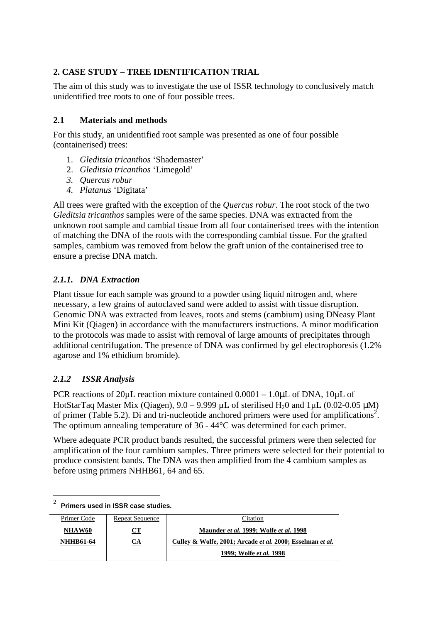# **2. CASE STUDY – TREE IDENTIFICATION TRIAL**

The aim of this study was to investigate the use of ISSR technology to conclusively match unidentified tree roots to one of four possible trees.

# **2.1 Materials and methods**

For this study, an unidentified root sample was presented as one of four possible (containerised) trees:

- 1. *Gleditsia tricanthos* 'Shademaster'
- 2. *Gleditsia tricanthos* 'Limegold'
- *3. Quercus robur*
- *4. Platanus* 'Digitata'

All trees were grafted with the exception of the *Quercus robur*. The root stock of the two *Gleditsia tricanthos* samples were of the same species. DNA was extracted from the unknown root sample and cambial tissue from all four containerised trees with the intention of matching the DNA of the roots with the corresponding cambial tissue. For the grafted samples, cambium was removed from below the graft union of the containerised tree to ensure a precise DNA match.

# *2.1.1. DNA Extraction*

Plant tissue for each sample was ground to a powder using liquid nitrogen and, where necessary, a few grains of autoclaved sand were added to assist with tissue disruption. Genomic DNA was extracted from leaves, roots and stems (cambium) using DNeasy Plant Mini Kit (Qiagen) in accordance with the manufacturers instructions. A minor modification to the protocols was made to assist with removal of large amounts of precipitates through additional centrifugation. The presence of DNA was confirmed by gel electrophoresis (1.2% agarose and 1% ethidium bromide).

# *2.1.2 ISSR Analysis*

PCR reactions of 20µL reaction mixture contained 0.0001 – 1.0µL of DNA, 10µL of HotStarTaq Master Mix (Qiagen),  $9.0 - 9.999 \mu L$  of sterilised H<sub>2</sub>0 and  $1 \mu L$  (0.02-0.05  $\mu$ M) of primer (Table 5.2). Di and tri-nucleotide anchored primers were used for amplifications<sup>2</sup>. The optimum annealing temperature of 36 - 44°C was determined for each primer.

Where adequate PCR product bands resulted, the successful primers were then selected for amplification of the four cambium samples. Three primers were selected for their potential to produce consistent bands. The DNA was then amplified from the 4 cambium samples as before using primers NHHB61, 64 and 65.

| Primer Code      | <b>Repeat Sequence</b> | <b>Titation</b>                                           |
|------------------|------------------------|-----------------------------------------------------------|
| NHAW60           |                        | Maunder et al. 1999; Wolfe et al. 1998                    |
| <b>NHHB61-64</b> | <u>CA</u>              | Culley & Wolfe, 2001; Arcade et al. 2000; Esselman et al. |
|                  |                        | 1999: Wolfe et al. 1998                                   |

2  **Primers used in ISSR case studies.** 

 $\overline{a}$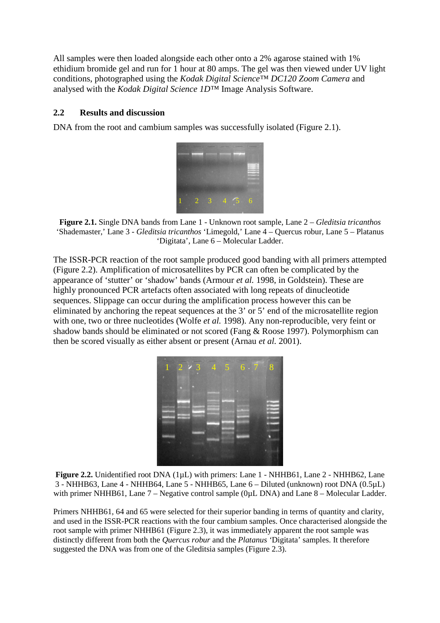All samples were then loaded alongside each other onto a 2% agarose stained with 1% ethidium bromide gel and run for 1 hour at 80 amps. The gel was then viewed under UV light conditions, photographed using the *Kodak Digital Science™ DC120 Zoom Camera* and analysed with the *Kodak Digital Science 1D™* Image Analysis Software.

#### **2.2 Results and discussion**

DNA from the root and cambium samples was successfully isolated (Figure 2.1).



**Figure 2.1.** Single DNA bands from Lane 1 - Unknown root sample, Lane 2 – *Gleditsia tricanthos* 'Shademaster,' Lane 3 - *Gleditsia tricanthos* 'Limegold,' Lane 4 – Quercus robur, Lane 5 – Platanus 'Digitata', Lane 6 – Molecular Ladder.

The ISSR-PCR reaction of the root sample produced good banding with all primers attempted (Figure 2.2). Amplification of microsatellites by PCR can often be complicated by the appearance of 'stutter' or 'shadow' bands (Armour *et al.* 1998, in Goldstein). These are highly pronounced PCR artefacts often associated with long repeats of dinucleotide sequences. Slippage can occur during the amplification process however this can be eliminated by anchoring the repeat sequences at the 3' or 5' end of the microsatellite region with one, two or three nucleotides (Wolfe *et al.* 1998). Any non-reproducible, very feint or shadow bands should be eliminated or not scored (Fang & Roose 1997). Polymorphism can then be scored visually as either absent or present (Arnau *et al.* 2001).



**Figure 2.2.** Unidentified root DNA (1µL) with primers: Lane 1 - NHHB61, Lane 2 - NHHB62, Lane 3 - NHHB63, Lane 4 - NHHB64, Lane 5 - NHHB65, Lane 6 – Diluted (unknown) root DNA (0.5µL) with primer NHHB61, Lane 7 – Negative control sample (0µL DNA) and Lane 8 – Molecular Ladder.

Primers NHHB61, 64 and 65 were selected for their superior banding in terms of quantity and clarity, and used in the ISSR-PCR reactions with the four cambium samples. Once characterised alongside the root sample with primer NHHB61 (Figure 2.3), it was immediately apparent the root sample was distinctly different from both the *Quercus robur* and the *Platanus '*Digitata' samples. It therefore suggested the DNA was from one of the Gleditsia samples (Figure 2.3).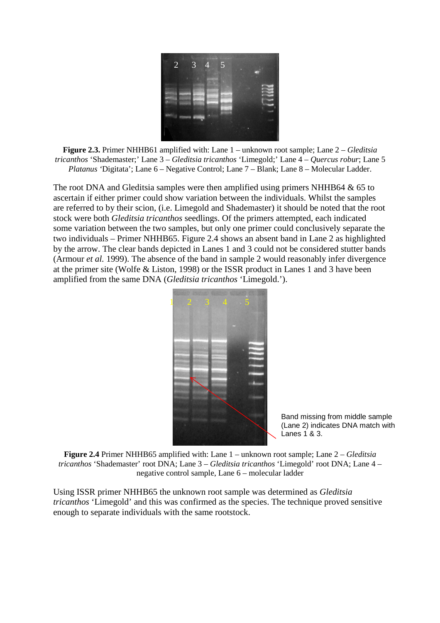

**Figure 2.3.** Primer NHHB61 amplified with: Lane 1 – unknown root sample; Lane 2 – *Gleditsia tricanthos* 'Shademaster;' Lane 3 – *Gleditsia tricanthos* 'Limegold;' Lane 4 – *Quercus robur*; Lane 5 *Platanus '*Digitata'; Lane 6 – Negative Control; Lane 7 – Blank; Lane 8 – Molecular Ladder.

The root DNA and Gleditsia samples were then amplified using primers NHHB64  $\&$  65 to ascertain if either primer could show variation between the individuals. Whilst the samples are referred to by their scion, (i.e. Limegold and Shademaster) it should be noted that the root stock were both *Gleditsia tricanthos* seedlings. Of the primers attempted, each indicated some variation between the two samples, but only one primer could conclusively separate the two individuals – Primer NHHB65. Figure 2.4 shows an absent band in Lane 2 as highlighted by the arrow. The clear bands depicted in Lanes 1 and 3 could not be considered stutter bands (Armour *et al.* 1999). The absence of the band in sample 2 would reasonably infer divergence at the primer site (Wolfe & Liston, 1998) or the ISSR product in Lanes 1 and 3 have been amplified from the same DNA (*Gleditsia tricanthos* 'Limegold.').



Band missing from middle sample (Lane 2) indicates DNA match with Lanes 1 & 3.

**Figure 2.4** Primer NHHB65 amplified with: Lane 1 – unknown root sample; Lane 2 – *Gleditsia tricanthos* 'Shademaster' root DNA; Lane 3 – *Gleditsia tricanthos* 'Limegold' root DNA; Lane 4 – negative control sample, Lane 6 – molecular ladder

Using ISSR primer NHHB65 the unknown root sample was determined as *Gleditsia tricanthos* 'Limegold' and this was confirmed as the species. The technique proved sensitive enough to separate individuals with the same rootstock.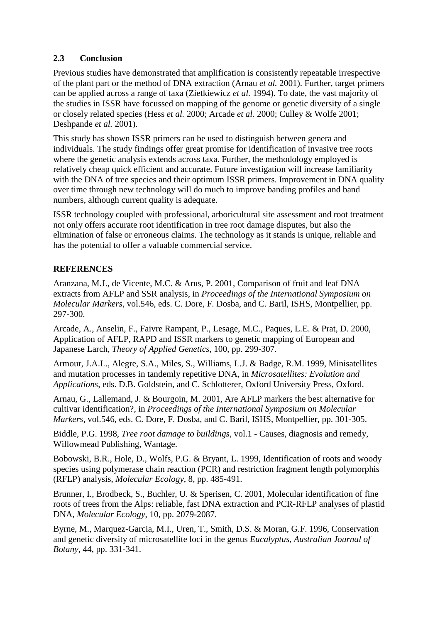# **2.3 Conclusion**

Previous studies have demonstrated that amplification is consistently repeatable irrespective of the plant part or the method of DNA extraction (Arnau *et al.* 2001). Further, target primers can be applied across a range of taxa (Zietkiewicz *et al.* 1994). To date, the vast majority of the studies in ISSR have focussed on mapping of the genome or genetic diversity of a single or closely related species (Hess *et al.* 2000; Arcade *et al.* 2000; Culley & Wolfe 2001; Deshpande *et al.* 2001).

This study has shown ISSR primers can be used to distinguish between genera and individuals. The study findings offer great promise for identification of invasive tree roots where the genetic analysis extends across taxa. Further, the methodology employed is relatively cheap quick efficient and accurate. Future investigation will increase familiarity with the DNA of tree species and their optimum ISSR primers. Improvement in DNA quality over time through new technology will do much to improve banding profiles and band numbers, although current quality is adequate.

ISSR technology coupled with professional, arboricultural site assessment and root treatment not only offers accurate root identification in tree root damage disputes, but also the elimination of false or erroneous claims. The technology as it stands is unique, reliable and has the potential to offer a valuable commercial service.

# **REFERENCES**

Aranzana, M.J., de Vicente, M.C. & Arus, P. 2001, Comparison of fruit and leaf DNA extracts from AFLP and SSR analysis, in *Proceedings of the International Symposium on Molecular Markers*, vol.546, eds. C. Dore, F. Dosba, and C. Baril, ISHS, Montpellier, pp. 297-300.

Arcade, A., Anselin, F., Faivre Rampant, P., Lesage, M.C., Paques, L.E. & Prat, D. 2000, Application of AFLP, RAPD and ISSR markers to genetic mapping of European and Japanese Larch, *Theory of Applied Genetics*, 100, pp. 299-307.

Armour, J.A.L., Alegre, S.A., Miles, S., Williams, L.J. & Badge, R.M. 1999, Minisatellites and mutation processes in tandemly repetitive DNA, in *Microsatellites: Evolution and Applications*, eds. D.B. Goldstein, and C. Schlotterer, Oxford University Press, Oxford.

Arnau, G., Lallemand, J. & Bourgoin, M. 2001, Are AFLP markers the best alternative for cultivar identification?, in *Proceedings of the International Symposium on Molecular Markers*, vol.546, eds. C. Dore, F. Dosba, and C. Baril, ISHS, Montpellier, pp. 301-305.

Biddle, P.G. 1998, *Tree root damage to buildings*, vol.1 - Causes, diagnosis and remedy, Willowmead Publishing, Wantage.

Bobowski, B.R., Hole, D., Wolfs, P.G. & Bryant, L. 1999, Identification of roots and woody species using polymerase chain reaction (PCR) and restriction fragment length polymorphis (RFLP) analysis, *Molecular Ecology*, 8, pp. 485-491.

Brunner, I., Brodbeck, S., Buchler, U. & Sperisen, C. 2001, Molecular identification of fine roots of trees from the Alps: reliable, fast DNA extraction and PCR-RFLP analyses of plastid DNA, *Molecular Ecology*, 10, pp. 2079-2087.

Byrne, M., Marquez-Garcia, M.I., Uren, T., Smith, D.S. & Moran, G.F. 1996, Conservation and genetic diversity of microsatellite loci in the genus *Eucalyptus*, *Australian Journal of Botany*, 44, pp. 331-341.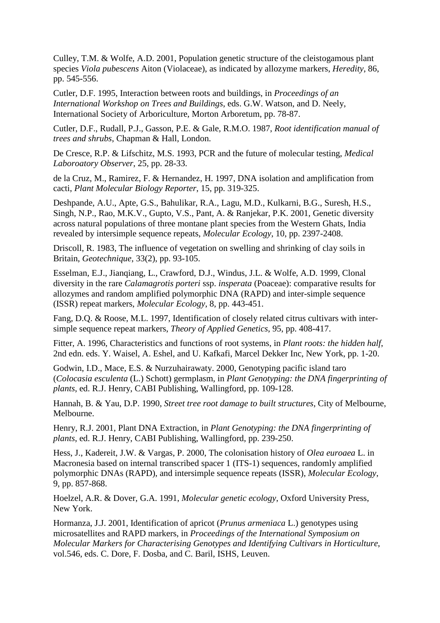Culley, T.M. & Wolfe, A.D. 2001, Population genetic structure of the cleistogamous plant species *Viola pubescens* Aiton (Violaceae), as indicated by allozyme markers, *Heredity*, 86, pp. 545-556.

Cutler, D.F. 1995, Interaction between roots and buildings, in *Proceedings of an International Workshop on Trees and Buildings*, eds. G.W. Watson, and D. Neely, International Society of Arboriculture, Morton Arboretum, pp. 78-87.

Cutler, D.F., Rudall, P.J., Gasson, P.E. & Gale, R.M.O. 1987, *Root identification manual of trees and shrubs*, Chapman & Hall, London.

De Cresce, R.P. & Lifschitz, M.S. 1993, PCR and the future of molecular testing, *Medical Laboroatory Observer*, 25, pp. 28-33.

de la Cruz, M., Ramirez, F. & Hernandez, H. 1997, DNA isolation and amplification from cacti, *Plant Molecular Biology Reporter*, 15, pp. 319-325.

Deshpande, A.U., Apte, G.S., Bahulikar, R.A., Lagu, M.D., Kulkarni, B.G., Suresh, H.S., Singh, N.P., Rao, M.K.V., Gupto, V.S., Pant, A. & Ranjekar, P.K. 2001, Genetic diversity across natural populations of three montane plant species from the Western Ghats, India revealed by intersimple sequence repeats, *Molecular Ecology*, 10, pp. 2397-2408.

Driscoll, R. 1983, The influence of vegetation on swelling and shrinking of clay soils in Britain, *Geotechnique*, 33(2), pp. 93-105.

Esselman, E.J., Jianqiang, L., Crawford, D.J., Windus, J.L. & Wolfe, A.D. 1999, Clonal diversity in the rare *Calamagrotis porteri* ssp. *insperata* (Poaceae): comparative results for allozymes and random amplified polymorphic DNA (RAPD) and inter-simple sequence (ISSR) repeat markers, *Molecular Ecology*, 8, pp. 443-451.

Fang, D.Q. & Roose, M.L. 1997, Identification of closely related citrus cultivars with intersimple sequence repeat markers, *Theory of Applied Genetics*, 95, pp. 408-417.

Fitter, A. 1996, Characteristics and functions of root systems, in *Plant roots: the hidden half*, 2nd edn. eds. Y. Waisel, A. Eshel, and U. Kafkafi, Marcel Dekker Inc, New York, pp. 1-20.

Godwin, I.D., Mace, E.S. & Nurzuhairawaty. 2000, Genotyping pacific island taro (*Colocasia esculenta* (L.) Schott) germplasm, in *Plant Genotyping: the DNA fingerprinting of plants*, ed. R.J. Henry, CABI Publishing, Wallingford, pp. 109-128.

Hannah, B. & Yau, D.P. 1990, *Street tree root damage to built structures*, City of Melbourne, Melbourne.

Henry, R.J. 2001, Plant DNA Extraction, in *Plant Genotyping: the DNA fingerprinting of plants*, ed. R.J. Henry, CABI Publishing, Wallingford, pp. 239-250.

Hess, J., Kadereit, J.W. & Vargas, P. 2000, The colonisation history of *Olea euroaea* L. in Macronesia based on internal transcribed spacer 1 (ITS-1) sequences, randomly amplified polymorphic DNAs (RAPD), and intersimple sequence repeats (ISSR), *Molecular Ecology*, 9, pp. 857-868.

Hoelzel, A.R. & Dover, G.A. 1991, *Molecular genetic ecology*, Oxford University Press, New York.

Hormanza, J.J. 2001, Identification of apricot (*Prunus armeniaca* L.) genotypes using microsatellites and RAPD markers, in *Proceedings of the International Symposium on Molecular Markers for Characterising Genotypes and Identifying Cultivars in Horticulture*, vol.546, eds. C. Dore, F. Dosba, and C. Baril, ISHS, Leuven.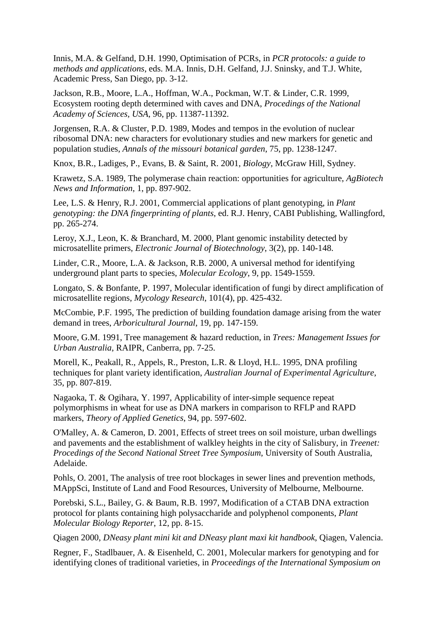Innis, M.A. & Gelfand, D.H. 1990, Optimisation of PCRs, in *PCR protocols: a guide to methods and applications*, eds. M.A. Innis, D.H. Gelfand, J.J. Sninsky, and T.J. White, Academic Press, San Diego, pp. 3-12.

Jackson, R.B., Moore, L.A., Hoffman, W.A., Pockman, W.T. & Linder, C.R. 1999, Ecosystem rooting depth determined with caves and DNA, *Procedings of the National Academy of Sciences, USA*, 96, pp. 11387-11392.

Jorgensen, R.A. & Cluster, P.D. 1989, Modes and tempos in the evolution of nuclear ribosomal DNA: new characters for evolutionary studies and new markers for genetic and population studies, *Annals of the missouri botanical garden*, 75, pp. 1238-1247.

Knox, B.R., Ladiges, P., Evans, B. & Saint, R. 2001, *Biology*, McGraw Hill, Sydney.

Krawetz, S.A. 1989, The polymerase chain reaction: opportunities for agriculture, *AgBiotech News and Information*, 1, pp. 897-902.

Lee, L.S. & Henry, R.J. 2001, Commercial applications of plant genotyping, in *Plant genotyping: the DNA fingerprinting of plants*, ed. R.J. Henry, CABI Publishing, Wallingford, pp. 265-274.

Leroy, X.J., Leon, K. & Branchard, M. 2000, Plant genomic instability detected by microsatellite primers, *Electronic Journal of Biotechnology*, 3(2), pp. 140-148.

Linder, C.R., Moore, L.A. & Jackson, R.B. 2000, A universal method for identifying underground plant parts to species, *Molecular Ecology*, 9, pp. 1549-1559.

Longato, S. & Bonfante, P. 1997, Molecular identification of fungi by direct amplification of microsatellite regions, *Mycology Research*, 101(4), pp. 425-432.

McCombie, P.F. 1995, The prediction of building foundation damage arising from the water demand in trees, *Arboricultural Journal*, 19, pp. 147-159.

Moore, G.M. 1991, Tree management & hazard reduction, in *Trees: Management Issues for Urban Australia*, RAIPR, Canberra, pp. 7-25.

Morell, K., Peakall, R., Appels, R., Preston, L.R. & Lloyd, H.L. 1995, DNA profiling techniques for plant variety identification, *Australian Journal of Experimental Agriculture*, 35, pp. 807-819.

Nagaoka, T. & Ogihara, Y. 1997, Applicability of inter-simple sequence repeat polymorphisms in wheat for use as DNA markers in comparison to RFLP and RAPD markers, *Theory of Applied Genetics*, 94, pp. 597-602.

O'Malley, A. & Cameron, D. 2001, Effects of street trees on soil moisture, urban dwellings and pavements and the establishment of walkley heights in the city of Salisbury, in *Treenet: Procedings of the Second National Street Tree Symposium*, University of South Australia, Adelaide.

Pohls, O. 2001, The analysis of tree root blockages in sewer lines and prevention methods, MAppSci, Institute of Land and Food Resources, University of Melbourne, Melbourne.

Porebski, S.L., Bailey, G. & Baum, R.B. 1997, Modification of a CTAB DNA extraction protocol for plants containing high polysaccharide and polyphenol components, *Plant Molecular Biology Reporter*, 12, pp. 8-15.

Qiagen 2000, *DNeasy plant mini kit and DNeasy plant maxi kit handbook*, Qiagen, Valencia.

Regner, F., Stadlbauer, A. & Eisenheld, C. 2001, Molecular markers for genotyping and for identifying clones of traditional varieties, in *Proceedings of the International Symposium on*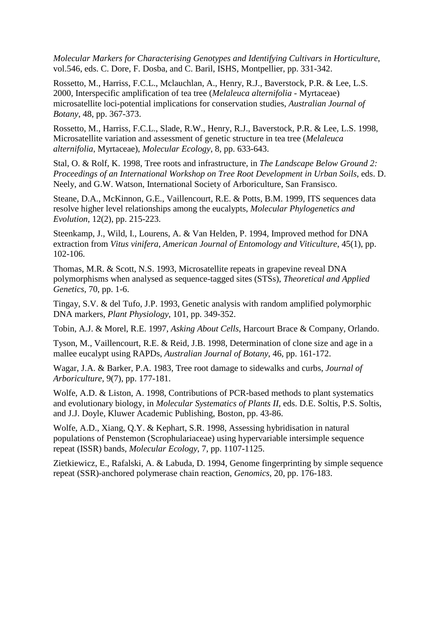*Molecular Markers for Characterising Genotypes and Identifying Cultivars in Horticulture*, vol.546, eds. C. Dore, F. Dosba, and C. Baril, ISHS, Montpellier, pp. 331-342.

Rossetto, M., Harriss, F.C.L., Mclauchlan, A., Henry, R.J., Baverstock, P.R. & Lee, L.S. 2000, Interspecific amplification of tea tree (*Melaleuca alternifolia* - Myrtaceae) microsatellite loci-potential implications for conservation studies, *Australian Journal of Botany*, 48, pp. 367-373.

Rossetto, M., Harriss, F.C.L., Slade, R.W., Henry, R.J., Baverstock, P.R. & Lee, L.S. 1998, Microsatellite variation and assessment of genetic structure in tea tree (*Melaleuca alternifolia*, Myrtaceae), *Molecular Ecology*, 8, pp. 633-643.

Stal, O. & Rolf, K. 1998, Tree roots and infrastructure, in *The Landscape Below Ground 2: Proceedings of an International Workshop on Tree Root Development in Urban Soils*, eds. D. Neely, and G.W. Watson, International Society of Arboriculture, San Fransisco.

Steane, D.A., McKinnon, G.E., Vaillencourt, R.E. & Potts, B.M. 1999, ITS sequences data resolve higher level relationships among the eucalypts, *Molecular Phylogenetics and Evolution*, 12(2), pp. 215-223.

Steenkamp, J., Wild, I., Lourens, A. & Van Helden, P. 1994, Improved method for DNA extraction from *Vitus vinifera*, *American Journal of Entomology and Viticulture*, 45(1), pp. 102-106.

Thomas, M.R. & Scott, N.S. 1993, Microsatellite repeats in grapevine reveal DNA polymorphisms when analysed as sequence-tagged sites (STSs), *Theoretical and Applied Genetics*, 70, pp. 1-6.

Tingay, S.V. & del Tufo, J.P. 1993, Genetic analysis with random amplified polymorphic DNA markers, *Plant Physiology*, 101, pp. 349-352.

Tobin, A.J. & Morel, R.E. 1997, *Asking About Cells*, Harcourt Brace & Company, Orlando.

Tyson, M., Vaillencourt, R.E. & Reid, J.B. 1998, Determination of clone size and age in a mallee eucalypt using RAPDs, *Australian Journal of Botany*, 46, pp. 161-172.

Wagar, J.A. & Barker, P.A. 1983, Tree root damage to sidewalks and curbs, *Journal of Arboriculture*, 9(7), pp. 177-181.

Wolfe, A.D. & Liston, A. 1998, Contributions of PCR-based methods to plant systematics and evolutionary biology, in *Molecular Systematics of Plants II*, eds. D.E. Soltis, P.S. Soltis, and J.J. Doyle, Kluwer Academic Publishing, Boston, pp. 43-86.

Wolfe, A.D., Xiang, Q.Y. & Kephart, S.R. 1998, Assessing hybridisation in natural populations of Penstemon (Scrophulariaceae) using hypervariable intersimple sequence repeat (ISSR) bands, *Molecular Ecology*, 7, pp. 1107-1125.

Zietkiewicz, E., Rafalski, A. & Labuda, D. 1994, Genome fingerprinting by simple sequence repeat (SSR)-anchored polymerase chain reaction, *Genomics*, 20, pp. 176-183.